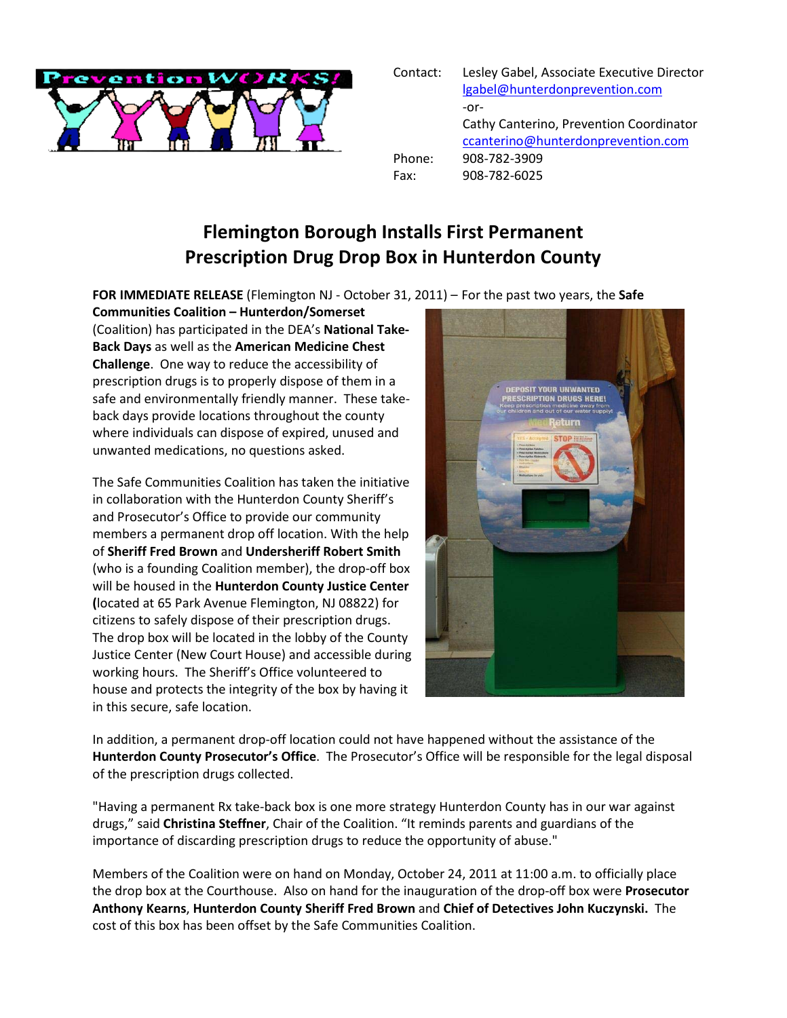

| Contact: | Lesley Gabel, Associate Executive Director |
|----------|--------------------------------------------|
|          | lgabel@hunterdonprevention.com             |
|          | -or-                                       |
|          | Cathy Canterino, Prevention Coordinator    |
|          | ccanterino@hunterdonprevention.com         |
| Phone:   | 908-782-3909                               |
| Fax:     | 908-782-6025                               |
|          |                                            |

## **Flemington Borough Installs First Permanent Prescription Drug Drop Box in Hunterdon County**

**FOR IMMEDIATE RELEASE** (Flemington NJ - October 31, 2011) – For the past two years, the **Safe** 

**Communities Coalition – Hunterdon/Somerset** (Coalition) has participated in the DEA's **National Take-Back Days** as well as the **American Medicine Chest Challenge**. One way to reduce the accessibility of prescription drugs is to properly dispose of them in a safe and environmentally friendly manner. These takeback days provide locations throughout the county where individuals can dispose of expired, unused and unwanted medications, no questions asked.

The Safe Communities Coalition has taken the initiative in collaboration with the Hunterdon County Sheriff's and Prosecutor's Office to provide our community members a permanent drop off location. With the help of **Sheriff Fred Brown** and **Undersheriff Robert Smith** (who is a founding Coalition member), the drop-off box will be housed in the **Hunterdon County Justice Center (**located at 65 Park Avenue Flemington, NJ 08822) for citizens to safely dispose of their prescription drugs. The drop box will be located in the lobby of the County Justice Center (New Court House) and accessible during working hours. The Sheriff's Office volunteered to house and protects the integrity of the box by having it in this secure, safe location.



In addition, a permanent drop-off location could not have happened without the assistance of the **Hunterdon County Prosecutor's Office**. The Prosecutor's Office will be responsible for the legal disposal of the prescription drugs collected.

"Having a permanent Rx take-back box is one more strategy Hunterdon County has in our war against drugs," said **Christina Steffner**, Chair of the Coalition. "It reminds parents and guardians of the importance of discarding prescription drugs to reduce the opportunity of abuse."

Members of the Coalition were on hand on Monday, October 24, 2011 at 11:00 a.m. to officially place the drop box at the Courthouse. Also on hand for the inauguration of the drop-off box were **Prosecutor Anthony Kearns**, **Hunterdon County Sheriff Fred Brown** and **Chief of Detectives John Kuczynski.** The cost of this box has been offset by the Safe Communities Coalition.